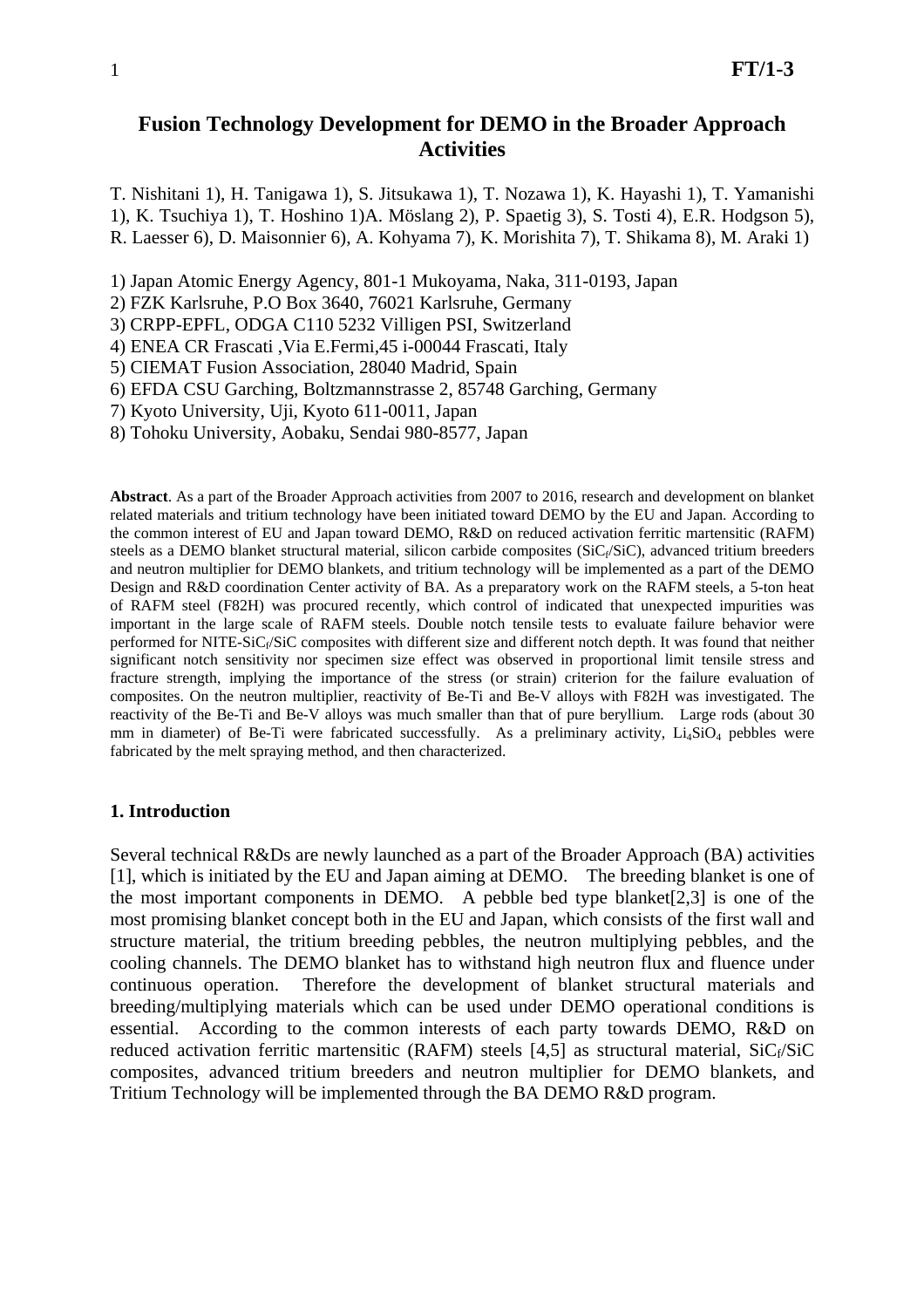# **Fusion Technology Development for DEMO in the Broader Approach Activities**

T. Nishitani 1), H. Tanigawa 1), S. Jitsukawa 1), T. Nozawa 1), K. Hayashi 1), T. Yamanishi 1), K. Tsuchiya 1), T. Hoshino 1)A. Möslang 2), P. Spaetig 3), S. Tosti 4), E.R. Hodgson 5), R. Laesser 6), D. Maisonnier 6), A. Kohyama 7), K. Morishita 7), T. Shikama 8), M. Araki 1)

1) Japan Atomic Energy Agency, 801-1 Mukoyama, Naka, 311-0193, Japan

2) FZK Karlsruhe, P.O Box 3640, 76021 Karlsruhe, Germany

3) CRPP-EPFL, ODGA C110 5232 Villigen PSI, Switzerland

4) ENEA CR Frascati ,Via E.Fermi,45 i-00044 Frascati, Italy

5) CIEMAT Fusion Association, 28040 Madrid, Spain

6) EFDA CSU Garching, Boltzmannstrasse 2, 85748 Garching, Germany

7) Kyoto University, Uji, Kyoto 611-0011, Japan

8) Tohoku University, Aobaku, Sendai 980-8577, Japan

**Abstract**. As a part of the Broader Approach activities from 2007 to 2016, research and development on blanket related materials and tritium technology have been initiated toward DEMO by the EU and Japan. According to the common interest of EU and Japan toward DEMO, R&D on reduced activation ferritic martensitic (RAFM) steels as a DEMO blanket structural material, silicon carbide composites ( $SiC_f/SiC$ ), advanced tritium breeders and neutron multiplier for DEMO blankets, and tritium technology will be implemented as a part of the DEMO Design and R&D coordination Center activity of BA. As a preparatory work on the RAFM steels, a 5-ton heat of RAFM steel (F82H) was procured recently, which control of indicated that unexpected impurities was important in the large scale of RAFM steels. Double notch tensile tests to evaluate failure behavior were performed for NITE-SiC<sub>f</sub>/SiC composites with different size and different notch depth. It was found that neither significant notch sensitivity nor specimen size effect was observed in proportional limit tensile stress and fracture strength, implying the importance of the stress (or strain) criterion for the failure evaluation of composites. On the neutron multiplier, reactivity of Be-Ti and Be-V alloys with F82H was investigated. The reactivity of the Be-Ti and Be-V alloys was much smaller than that of pure beryllium. Large rods (about 30 mm in diameter) of Be-Ti were fabricated successfully. As a preliminary activity, Li<sub>4</sub>SiO<sub>4</sub> pebbles were fabricated by the melt spraying method, and then characterized.

#### **1. Introduction**

Several technical R&Ds are newly launched as a part of the Broader Approach (BA) activities [1], which is initiated by the EU and Japan aiming at DEMO. The breeding blanket is one of the most important components in DEMO. A pebble bed type blanket[2,3] is one of the most promising blanket concept both in the EU and Japan, which consists of the first wall and structure material, the tritium breeding pebbles, the neutron multiplying pebbles, and the cooling channels. The DEMO blanket has to withstand high neutron flux and fluence under continuous operation. Therefore the development of blanket structural materials and breeding/multiplying materials which can be used under DEMO operational conditions is essential. According to the common interests of each party towards DEMO, R&D on reduced activation ferritic martensitic (RAFM) steels [4,5] as structural material,  $SiC_f/SiC$ composites, advanced tritium breeders and neutron multiplier for DEMO blankets, and Tritium Technology will be implemented through the BA DEMO R&D program.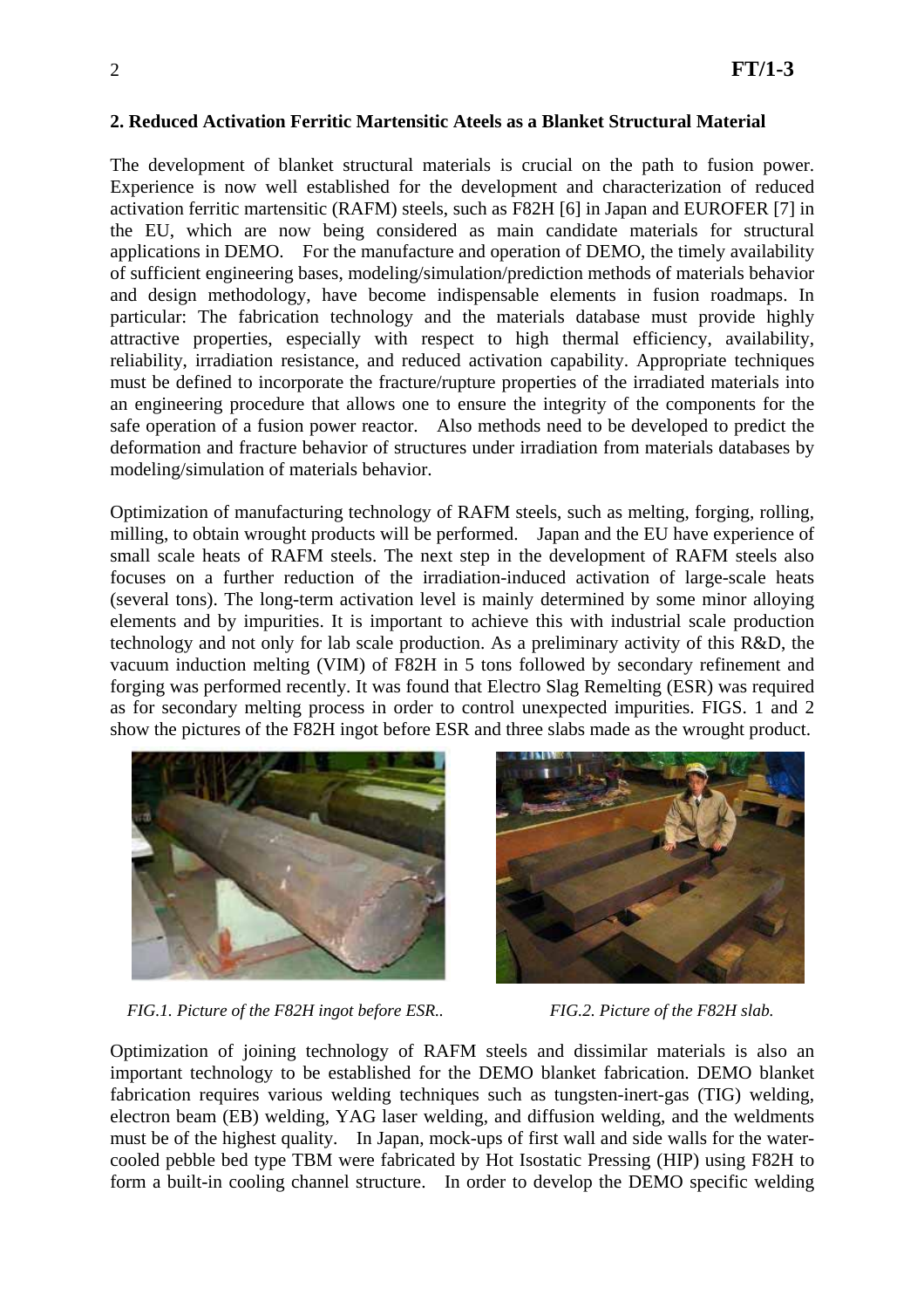#### **2. Reduced Activation Ferritic Martensitic Ateels as a Blanket Structural Material**

The development of blanket structural materials is crucial on the path to fusion power. Experience is now well established for the development and characterization of reduced activation ferritic martensitic (RAFM) steels, such as F82H [6] in Japan and EUROFER [7] in the EU, which are now being considered as main candidate materials for structural applications in DEMO. For the manufacture and operation of DEMO, the timely availability of sufficient engineering bases, modeling/simulation/prediction methods of materials behavior and design methodology, have become indispensable elements in fusion roadmaps. In particular: The fabrication technology and the materials database must provide highly attractive properties, especially with respect to high thermal efficiency, availability, reliability, irradiation resistance, and reduced activation capability. Appropriate techniques must be defined to incorporate the fracture/rupture properties of the irradiated materials into an engineering procedure that allows one to ensure the integrity of the components for the safe operation of a fusion power reactor. Also methods need to be developed to predict the deformation and fracture behavior of structures under irradiation from materials databases by modeling/simulation of materials behavior.

Optimization of manufacturing technology of RAFM steels, such as melting, forging, rolling, milling, to obtain wrought products will be performed. Japan and the EU have experience of small scale heats of RAFM steels. The next step in the development of RAFM steels also focuses on a further reduction of the irradiation-induced activation of large-scale heats (several tons). The long-term activation level is mainly determined by some minor alloying elements and by impurities. It is important to achieve this with industrial scale production technology and not only for lab scale production. As a preliminary activity of this R&D, the vacuum induction melting (VIM) of F82H in 5 tons followed by secondary refinement and forging was performed recently. It was found that Electro Slag Remelting (ESR) was required as for secondary melting process in order to control unexpected impurities. FIGS. 1 and 2 show the pictures of the F82H ingot before ESR and three slabs made as the wrought product.



*FIG.1. Picture of the F82H ingot before ESR.. FIG.2. Picture of the F82H slab.* 

Optimization of joining technology of RAFM steels and dissimilar materials is also an important technology to be established for the DEMO blanket fabrication. DEMO blanket fabrication requires various welding techniques such as tungsten-inert-gas (TIG) welding, electron beam (EB) welding, YAG laser welding, and diffusion welding, and the weldments must be of the highest quality. In Japan, mock-ups of first wall and side walls for the watercooled pebble bed type TBM were fabricated by Hot Isostatic Pressing (HIP) using F82H to form a built-in cooling channel structure. In order to develop the DEMO specific welding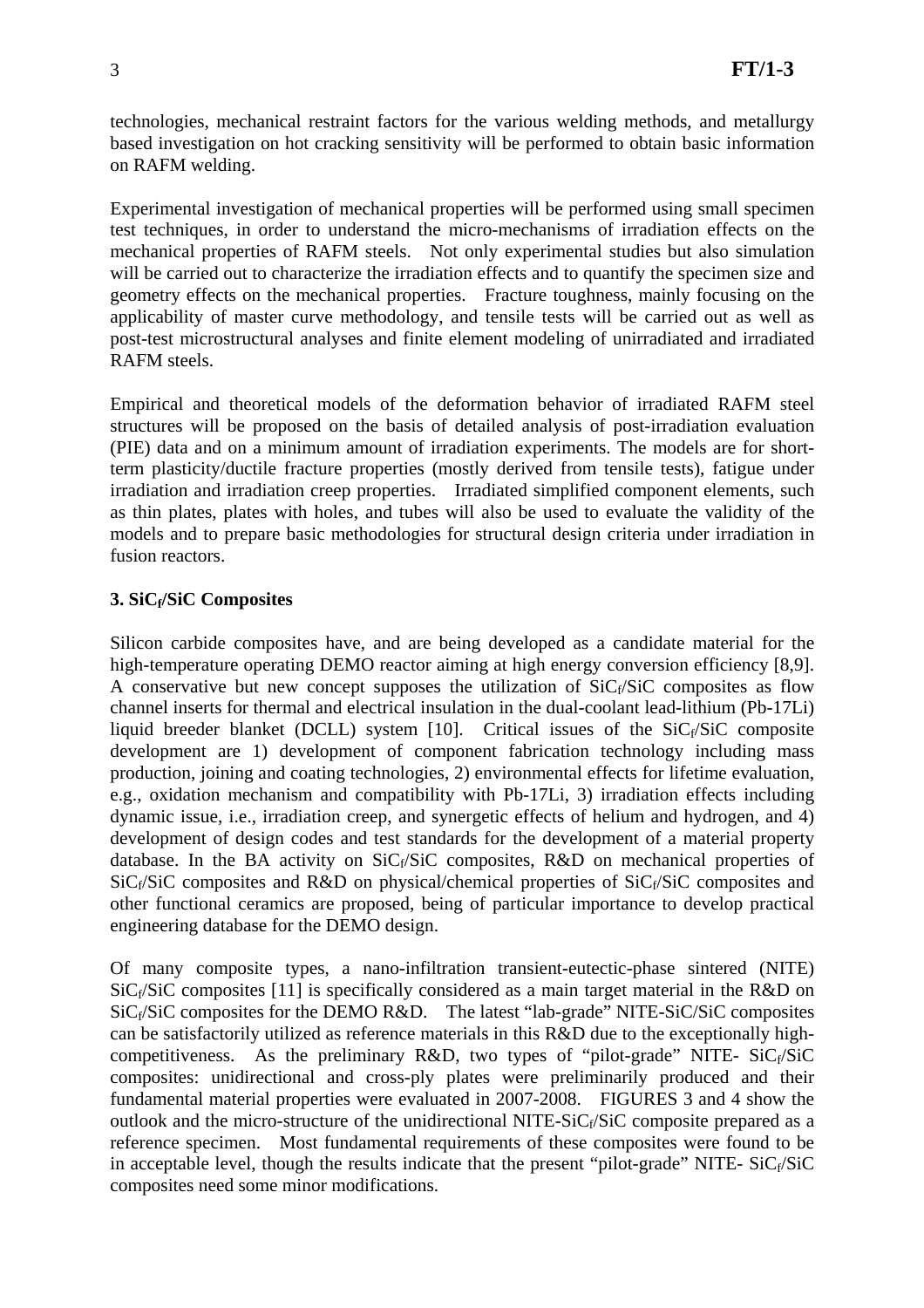technologies, mechanical restraint factors for the various welding methods, and metallurgy based investigation on hot cracking sensitivity will be performed to obtain basic information on RAFM welding.

Experimental investigation of mechanical properties will be performed using small specimen test techniques, in order to understand the micro-mechanisms of irradiation effects on the mechanical properties of RAFM steels. Not only experimental studies but also simulation will be carried out to characterize the irradiation effects and to quantify the specimen size and geometry effects on the mechanical properties. Fracture toughness, mainly focusing on the applicability of master curve methodology, and tensile tests will be carried out as well as post-test microstructural analyses and finite element modeling of unirradiated and irradiated RAFM steels.

Empirical and theoretical models of the deformation behavior of irradiated RAFM steel structures will be proposed on the basis of detailed analysis of post-irradiation evaluation (PIE) data and on a minimum amount of irradiation experiments. The models are for shortterm plasticity/ductile fracture properties (mostly derived from tensile tests), fatigue under irradiation and irradiation creep properties. Irradiated simplified component elements, such as thin plates, plates with holes, and tubes will also be used to evaluate the validity of the models and to prepare basic methodologies for structural design criteria under irradiation in fusion reactors.

### **3. SiCf/SiC Composites**

Silicon carbide composites have, and are being developed as a candidate material for the high-temperature operating DEMO reactor aiming at high energy conversion efficiency [8,9]. A conservative but new concept supposes the utilization of  $SiC_f/SiC$  composites as flow channel inserts for thermal and electrical insulation in the dual-coolant lead-lithium (Pb-17Li) liquid breeder blanket (DCLL) system [10]. Critical issues of the  $SiC_f/SiC$  composite development are 1) development of component fabrication technology including mass production, joining and coating technologies, 2) environmental effects for lifetime evaluation, e.g., oxidation mechanism and compatibility with Pb-17Li, 3) irradiation effects including dynamic issue, i.e., irradiation creep, and synergetic effects of helium and hydrogen, and 4) development of design codes and test standards for the development of a material property database. In the BA activity on  $SiC_f/SiC$  composites, R&D on mechanical properties of  $SiC_f/SiC$  composites and R&D on physical/chemical properties of  $SiC_f/SiC$  composites and other functional ceramics are proposed, being of particular importance to develop practical engineering database for the DEMO design.

Of many composite types, a nano-infiltration transient-eutectic-phase sintered (NITE) SiC $_f$ SiC composites [11] is specifically considered as a main target material in the R&D on SiC<sub>f</sub>/SiC composites for the DEMO R&D. The latest "lab-grade" NITE-SiC/SiC composites can be satisfactorily utilized as reference materials in this R&D due to the exceptionally highcompetitiveness. As the preliminary R&D, two types of "pilot-grade" NITE-  $SiC_f/SiC$ composites: unidirectional and cross-ply plates were preliminarily produced and their fundamental material properties were evaluated in 2007-2008. FIGURES 3 and 4 show the outlook and the micro-structure of the unidirectional NITE-SiC $_f$ SiC composite prepared as a reference specimen. Most fundamental requirements of these composites were found to be in acceptable level, though the results indicate that the present "pilot-grade" NITE-  $SiC_f/SiC$ composites need some minor modifications.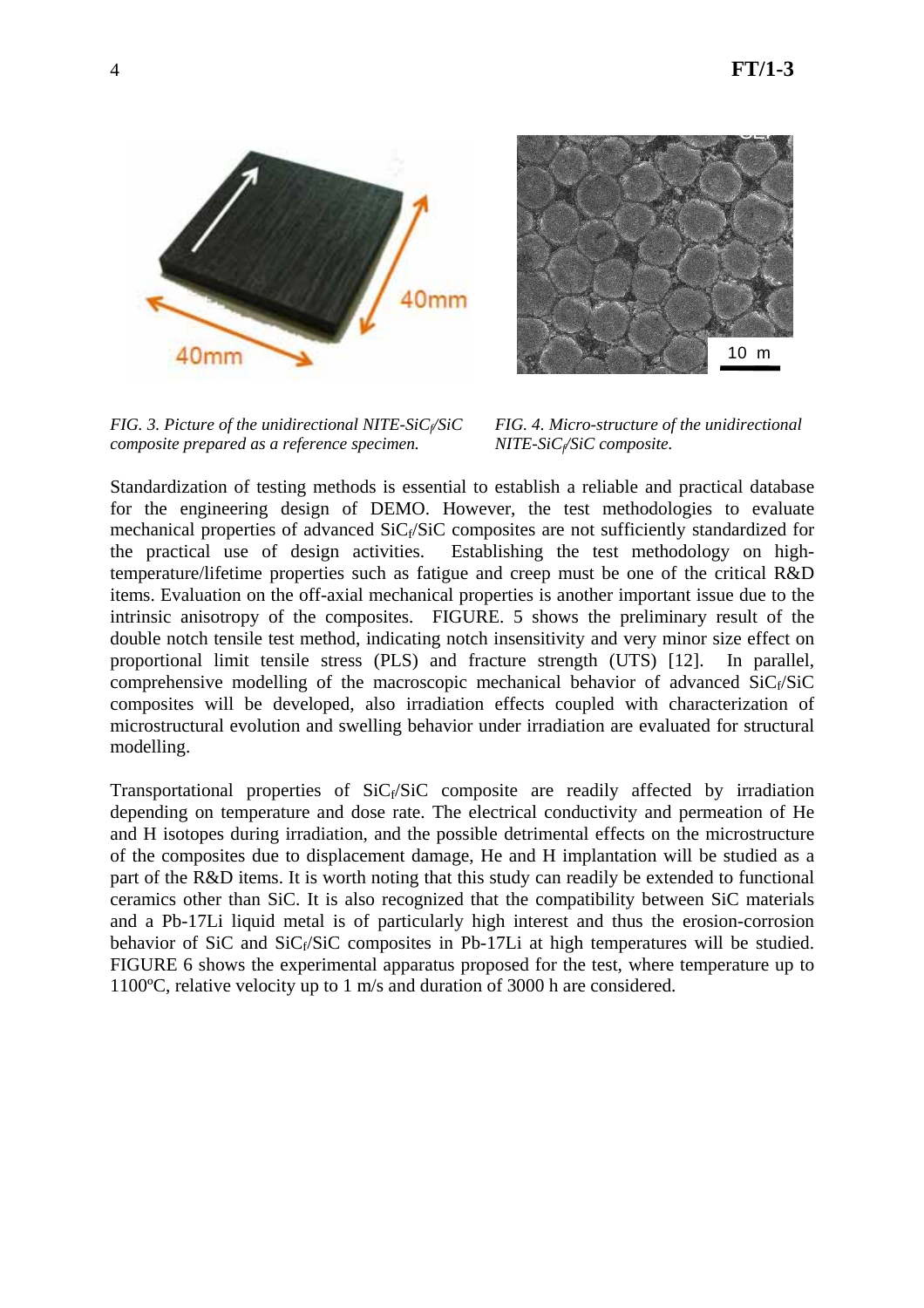SEI

10 m



*FIG. 3. Picture of the unidirectional NITE-SiCf/SiC FIG. 4. Micro-structure of the unidirectional composite prepared as a reference specimen.* MITE-SiC<sub>f</sub>/SiC composite.



Standardization of testing methods is essential to establish a reliable and practical database for the engineering design of DEMO. However, the test methodologies to evaluate mechanical properties of advanced  $\text{SiC}_f/\text{SiC}$  composites are not sufficiently standardized for the practical use of design activities. Establishing the test methodology on hightemperature/lifetime properties such as fatigue and creep must be one of the critical R&D items. Evaluation on the off-axial mechanical properties is another important issue due to the intrinsic anisotropy of the composites. FIGURE. 5 shows the preliminary result of the double notch tensile test method, indicating notch insensitivity and very minor size effect on proportional limit tensile stress (PLS) and fracture strength (UTS) [12]. In parallel, comprehensive modelling of the macroscopic mechanical behavior of advanced  $SiC_f/SiC$ composites will be developed, also irradiation effects coupled with characterization of microstructural evolution and swelling behavior under irradiation are evaluated for structural modelling.

Transportational properties of  $SiC_f/SiC$  composite are readily affected by irradiation depending on temperature and dose rate. The electrical conductivity and permeation of He and H isotopes during irradiation, and the possible detrimental effects on the microstructure of the composites due to displacement damage, He and H implantation will be studied as a part of the R&D items. It is worth noting that this study can readily be extended to functional ceramics other than SiC. It is also recognized that the compatibility between SiC materials and a Pb-17Li liquid metal is of particularly high interest and thus the erosion-corrosion behavior of SiC and  $SiC_f/SiC$  composites in Pb-17Li at high temperatures will be studied. FIGURE 6 shows the experimental apparatus proposed for the test, where temperature up to 1100ºC, relative velocity up to 1 m/s and duration of 3000 h are considered.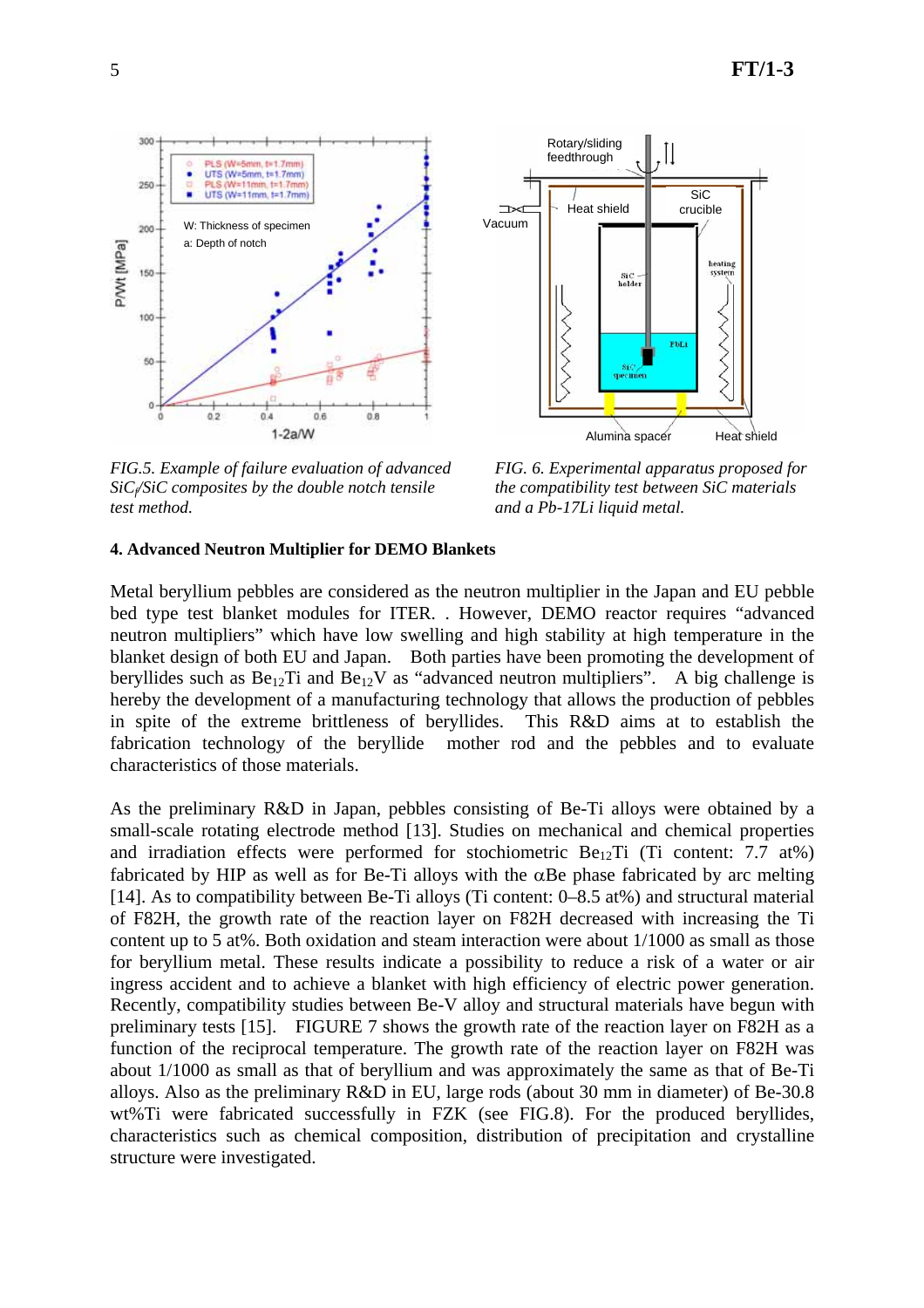



*FIG.5. Example of failure evaluation of advanced FIG. 6. Experimental apparatus proposed for SiCf/SiC composites by the double notch tensile the compatibility test between SiC materials test method. and a Pb-17Li liquid metal.* 

#### **4. Advanced Neutron Multiplier for DEMO Blankets**

Metal beryllium pebbles are considered as the neutron multiplier in the Japan and EU pebble bed type test blanket modules for ITER. . However, DEMO reactor requires "advanced neutron multipliers" which have low swelling and high stability at high temperature in the blanket design of both EU and Japan. Both parties have been promoting the development of beryllides such as  $Be_{12}Ti$  and  $Be_{12}V$  as "advanced neutron multipliers". A big challenge is hereby the development of a manufacturing technology that allows the production of pebbles in spite of the extreme brittleness of beryllides. This R&D aims at to establish the fabrication technology of the beryllide mother rod and the pebbles and to evaluate characteristics of those materials.

As the preliminary R&D in Japan, pebbles consisting of Be-Ti alloys were obtained by a small-scale rotating electrode method [13]. Studies on mechanical and chemical properties and irradiation effects were performed for stochiometric  $Be_{12}Ti$  (Ti content: 7.7 at%) fabricated by HIP as well as for Be-Ti alloys with the  $\alpha$ Be phase fabricated by arc melting [14]. As to compatibility between Be-Ti alloys (Ti content: 0–8.5 at%) and structural material of F82H, the growth rate of the reaction layer on F82H decreased with increasing the Ti content up to 5 at%. Both oxidation and steam interaction were about 1/1000 as small as those for beryllium metal. These results indicate a possibility to reduce a risk of a water or air ingress accident and to achieve a blanket with high efficiency of electric power generation. Recently, compatibility studies between Be-V alloy and structural materials have begun with preliminary tests [15]. FIGURE 7 shows the growth rate of the reaction layer on F82H as a function of the reciprocal temperature. The growth rate of the reaction layer on F82H was about 1/1000 as small as that of beryllium and was approximately the same as that of Be-Ti alloys. Also as the preliminary R&D in EU, large rods (about 30 mm in diameter) of Be-30.8 wt%Ti were fabricated successfully in FZK (see FIG.8). For the produced beryllides, characteristics such as chemical composition, distribution of precipitation and crystalline structure were investigated.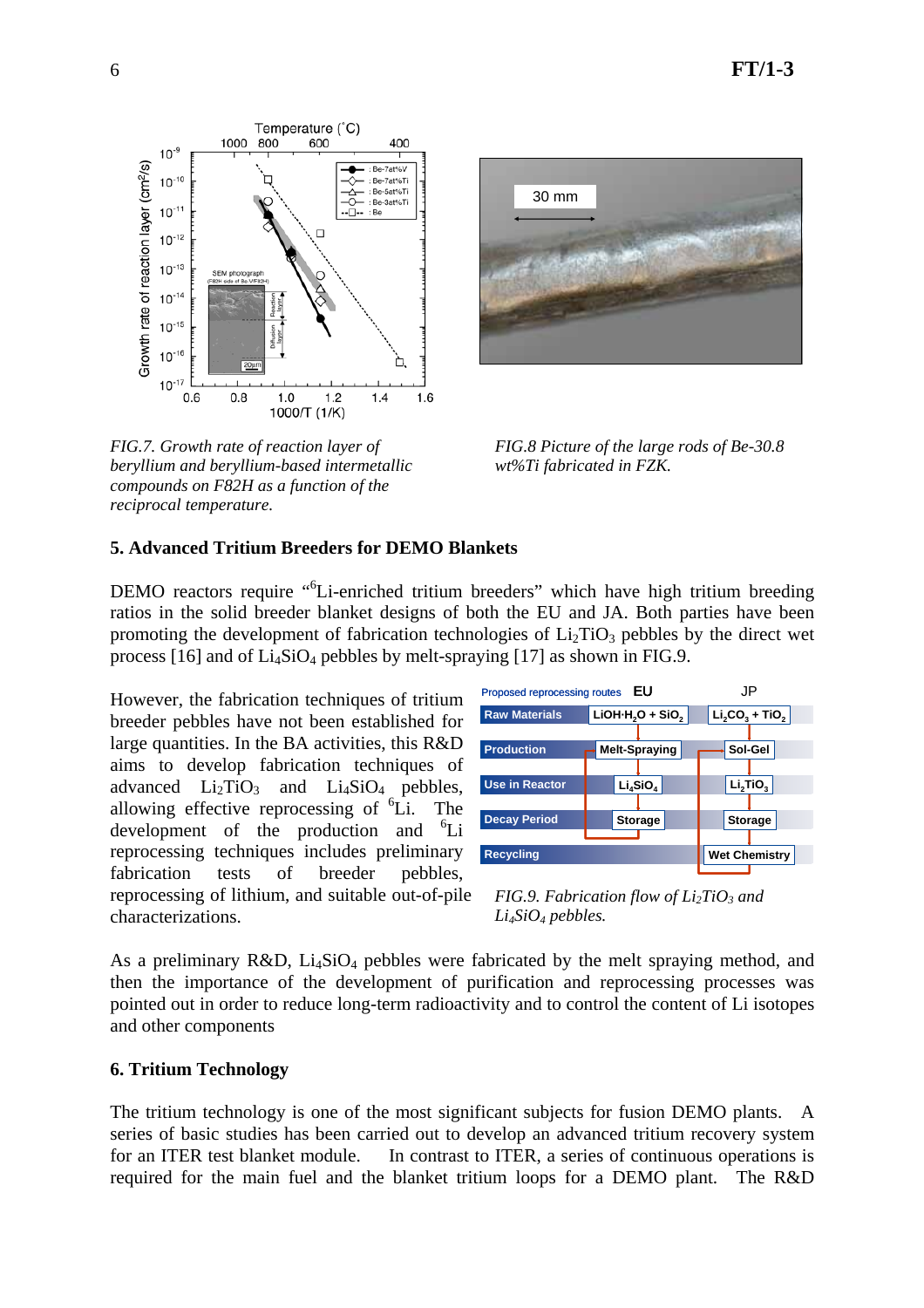

*FIG.7. Growth rate of reaction layer of FIG.8 Picture of the large rods of Be-30.8 beryllium and beryllium-based intermetallic wt%Ti fabricated in FZK. compounds on F82H as a function of the reciprocal temperature.* 



## **5. Advanced Tritium Breeders for DEMO Blankets**

DEMO reactors require "<sup>6</sup>Li-enriched tritium breeders" which have high tritium breeding ratios in the solid breeder blanket designs of both the EU and JA. Both parties have been promoting the development of fabrication technologies of  $Li<sub>2</sub>TiO<sub>3</sub>$  pebbles by the direct wet process [16] and of  $Li_4SiO_4$  pebbles by melt-spraying [17] as shown in FIG.9.

However, the fabrication techniques of tritium breeder pebbles have not been established for large quantities. In the BA activities, this R&D aims to develop fabrication techniques of advanced  $Li<sub>2</sub>TiO<sub>3</sub>$  and  $Li<sub>4</sub>SiO<sub>4</sub>$  pebbles, allowing effective reprocessing of  ${}^{6}$ Li. The development of the production and  $^{6}$ Li reprocessing techniques includes preliminary fabrication tests of breeder pebbles, reprocessing of lithium, and suitable out-of-pile characterizations.



*FIG.9. Fabrication flow of Li<sub>2</sub>TiO<sub>3</sub> and Li4SiO4 pebbles.* 

As a preliminary R&D,  $Li<sub>4</sub>SiO<sub>4</sub>$  pebbles were fabricated by the melt spraying method, and then the importance of the development of purification and reprocessing processes was pointed out in order to reduce long-term radioactivity and to control the content of Li isotopes and other components

#### **6. Tritium Technology**

The tritium technology is one of the most significant subjects for fusion DEMO plants. A series of basic studies has been carried out to develop an advanced tritium recovery system for an ITER test blanket module. In contrast to ITER, a series of continuous operations is required for the main fuel and the blanket tritium loops for a DEMO plant. The R&D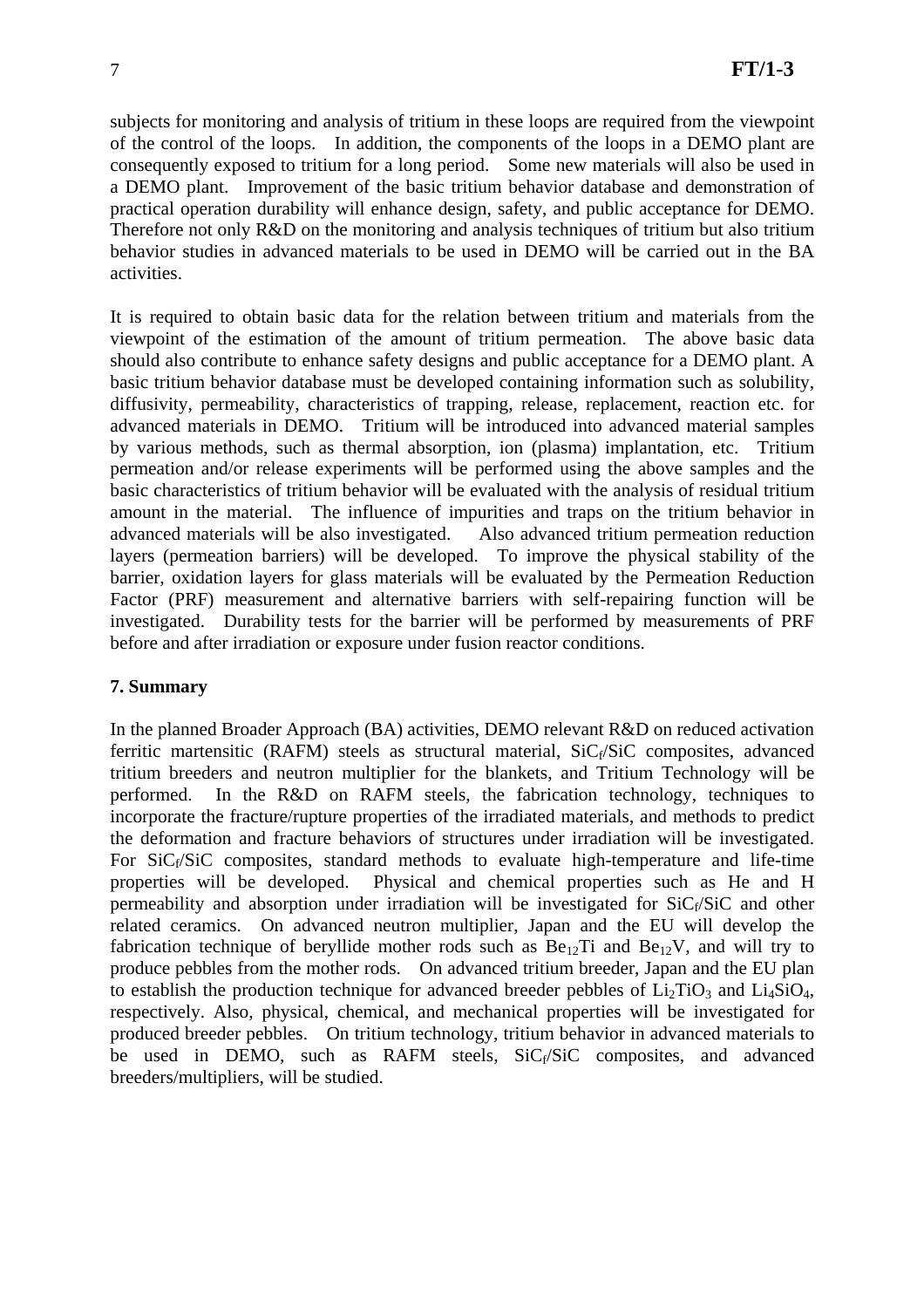subjects for monitoring and analysis of tritium in these loops are required from the viewpoint of the control of the loops. In addition, the components of the loops in a DEMO plant are consequently exposed to tritium for a long period. Some new materials will also be used in a DEMO plant. Improvement of the basic tritium behavior database and demonstration of practical operation durability will enhance design, safety, and public acceptance for DEMO. Therefore not only R&D on the monitoring and analysis techniques of tritium but also tritium behavior studies in advanced materials to be used in DEMO will be carried out in the BA activities.

It is required to obtain basic data for the relation between tritium and materials from the viewpoint of the estimation of the amount of tritium permeation. The above basic data should also contribute to enhance safety designs and public acceptance for a DEMO plant. A basic tritium behavior database must be developed containing information such as solubility, diffusivity, permeability, characteristics of trapping, release, replacement, reaction etc. for advanced materials in DEMO. Tritium will be introduced into advanced material samples by various methods, such as thermal absorption, ion (plasma) implantation, etc. Tritium permeation and/or release experiments will be performed using the above samples and the basic characteristics of tritium behavior will be evaluated with the analysis of residual tritium amount in the material. The influence of impurities and traps on the tritium behavior in advanced materials will be also investigated. Also advanced tritium permeation reduction layers (permeation barriers) will be developed. To improve the physical stability of the barrier, oxidation layers for glass materials will be evaluated by the Permeation Reduction Factor (PRF) measurement and alternative barriers with self-repairing function will be investigated. Durability tests for the barrier will be performed by measurements of PRF before and after irradiation or exposure under fusion reactor conditions.

### **7. Summary**

In the planned Broader Approach (BA) activities, DEMO relevant R&D on reduced activation ferritic martensitic (RAFM) steels as structural material,  $SiC_f/SiC$  composites, advanced tritium breeders and neutron multiplier for the blankets, and Tritium Technology will be performed. In the R&D on RAFM steels, the fabrication technology, techniques to incorporate the fracture/rupture properties of the irradiated materials, and methods to predict the deformation and fracture behaviors of structures under irradiation will be investigated. For  $SiC_f/SiC$  composites, standard methods to evaluate high-temperature and life-time properties will be developed. Physical and chemical properties such as He and H permeability and absorption under irradiation will be investigated for  $SiC_f/SiC$  and other related ceramics. On advanced neutron multiplier, Japan and the EU will develop the fabrication technique of beryllide mother rods such as  $Be_{12}Ti$  and  $Be_{12}V$ , and will try to produce pebbles from the mother rods. On advanced tritium breeder, Japan and the EU plan to establish the production technique for advanced breeder pebbles of  $Li<sub>2</sub>TiO<sub>3</sub>$  and  $Li<sub>4</sub>SiO<sub>4</sub>$ , respectively. Also, physical, chemical, and mechanical properties will be investigated for produced breeder pebbles. On tritium technology, tritium behavior in advanced materials to be used in DEMO, such as RAFM steels,  $SiC_f/SiC$  composites, and advanced breeders/multipliers, will be studied.